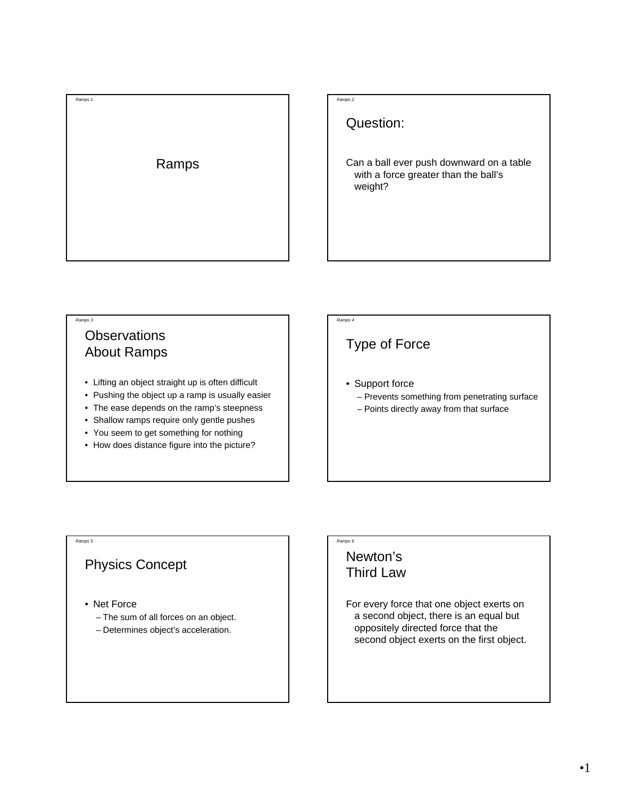



Question:

Can a ball ever push downward on a table with a force greater than the ball's weight?

### **Observations** About Ramps

*Ramps 3*

- Lifting an object straight up is often difficult
- Pushing the object up a ramp is usually easier
- The ease depends on the ramp's steepness
- Shallow ramps require only gentle pushes
- You seem to get something for nothing
- How does distance figure into the picture?

## *Ramps 4*

## Type of Force

- Support force
	- Prevents something from penetrating surface
	- Points directly away from that surface

#### *Ramps 5*

#### Physics Concept

- Net Force
	- The sum of all forces on an object.
	- Determines object's acceleration.

## Newton's Third Law

*Ramps 6*

For every force that one object exerts on a second object, there is an equal but oppositely directed force that the second object exerts on the first object.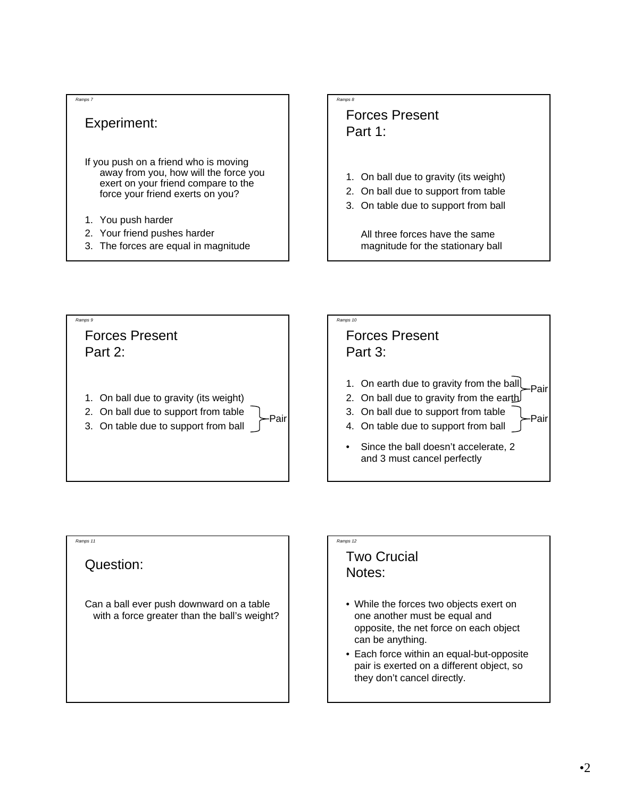#### *Ramps 7*

#### Experiment:

If you push on a friend who is moving away from you, how will the force you exert on your friend compare to the force your friend exerts on you?

- 1. You push harder
- 2. Your friend pushes harder
- 3. The forces are equal in magnitude

# *Ramps 8*

#### Forces Present Part 1:

- 1. On ball due to gravity (its weight)
- 2. On ball due to support from table
- 3. On table due to support from ball

All three forces have the same magnitude for the stationary ball





## Question:

*Ramps 11*

Can a ball ever push downward on a table with a force greater than the ball's weight?

#### Two Crucial Notes:

*Ramps 12*

- While the forces two objects exert on one another must be equal and opposite, the net force on each object can be anything.
- Each force within an equal-but-opposite pair is exerted on a different object, so they don't cancel directly.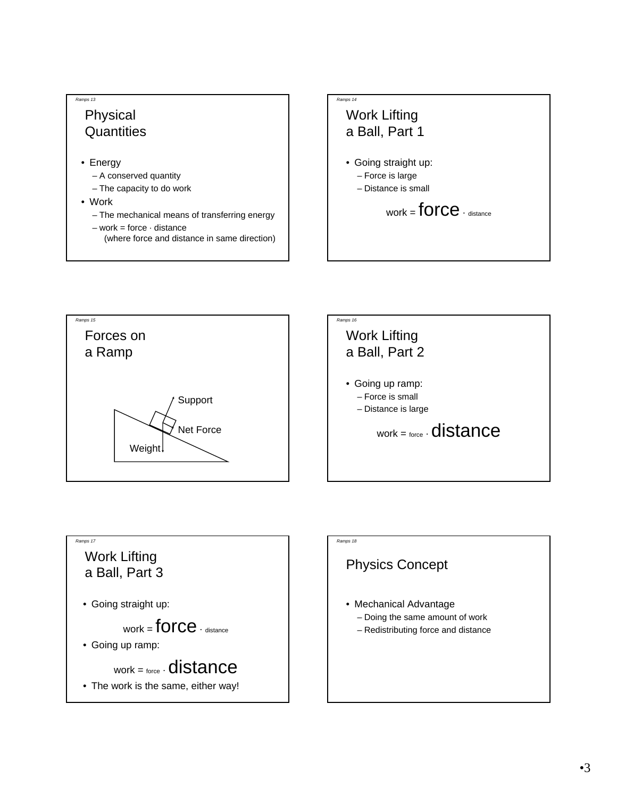## Physical **Quantities**

• Energy

*Ramps 13*

- A conserved quantity
- The capacity to do work
- Work
	- The mechanical means of transferring energy
	- $-$  work = force  $\cdot$  distance
		- (where force and distance in same direction)